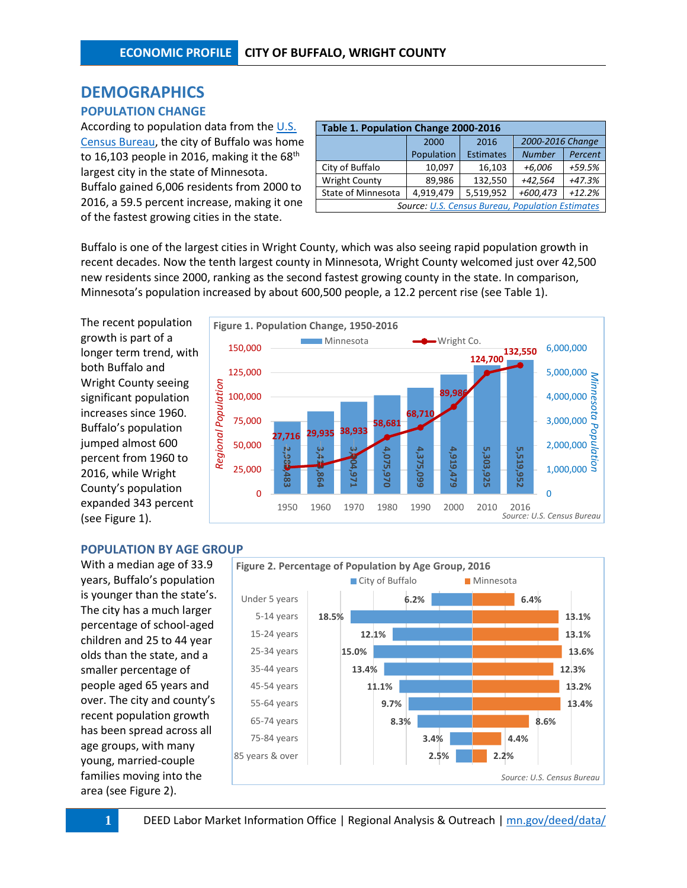# **DEMOGRAPHICS**

# **POPULATION CHANGE**

According to population data from the U.S. [Census Bureau,](http://factfinder.census.gov/faces/nav/jsf/pages/searchresults.xhtml?refresh=t) the city of Buffalo was home to 16,103 people in 2016, making it the  $68<sup>th</sup>$ largest city in the state of Minnesota. Buffalo gained 6,006 residents from 2000 to 2016, a 59.5 percent increase, making it one of the fastest growing cities in the state.

| Table 1. Population Change 2000-2016                    |            |                  |                  |          |  |  |  |  |  |  |
|---------------------------------------------------------|------------|------------------|------------------|----------|--|--|--|--|--|--|
|                                                         | 2000       | 2016             | 2000-2016 Change |          |  |  |  |  |  |  |
|                                                         | Population | <b>Estimates</b> | <b>Number</b>    | Percent  |  |  |  |  |  |  |
| City of Buffalo                                         | 10,097     | 16,103           | +6,006           | +59.5%   |  |  |  |  |  |  |
| <b>Wright County</b>                                    | 89,986     | 132,550          | $+42,564$        | $+47.3%$ |  |  |  |  |  |  |
| State of Minnesota                                      | 4,919,479  | 5,519,952        | +600,473         | $+12.2%$ |  |  |  |  |  |  |
| <b>Source: U.S. Census Bureau, Population Estimates</b> |            |                  |                  |          |  |  |  |  |  |  |

Buffalo is one of the largest cities in Wright County, which was also seeing rapid population growth in recent decades. Now the tenth largest county in Minnesota, Wright County welcomed just over 42,500 new residents since 2000, ranking as the second fastest growing county in the state. In comparison, Minnesota's population increased by about 600,500 people, a 12.2 percent rise (see Table 1).

The recent population growth is part of a longer term trend, with both Buffalo and Wright County seeing significant population increases since 1960. Buffalo's population jumped almost 600 percent from 1960 to 2016, while Wright County's population expanded 343 percent (see Figure 1).



### **POPULATION BY AGE GROUP**

With a median age of 33.9 years, Buffalo's population is younger than the state's. The city has a much larger percentage of school-aged children and 25 to 44 year olds than the state, and a smaller percentage of people aged 65 years and over. The city and county's recent population growth has been spread across all age groups, with many young, married-couple families moving into the area (see Figure 2).

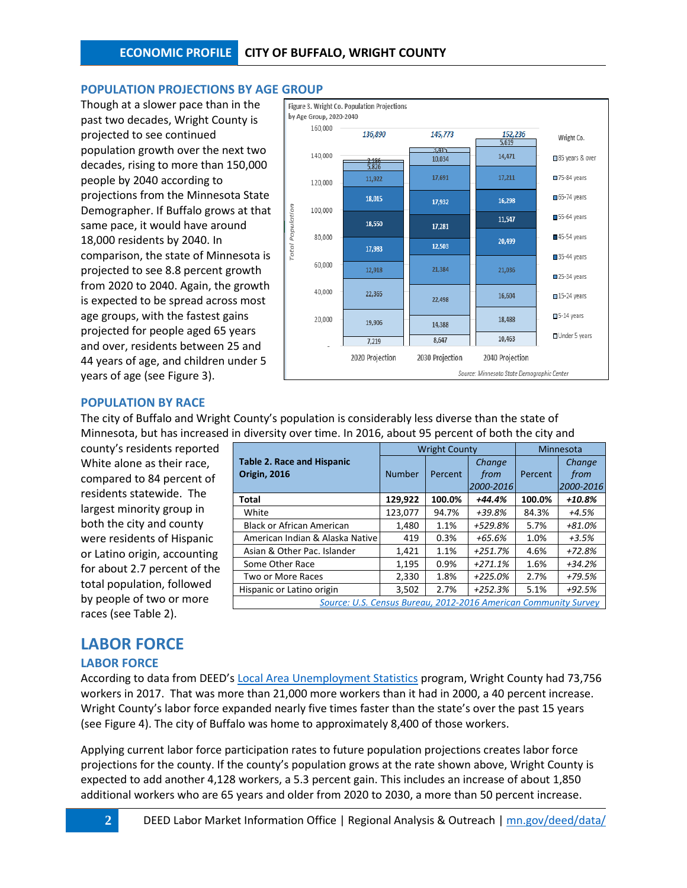## **POPULATION PROJECTIONS BY AGE GROUP**

Though at a slower pace than in the past two decades, Wright County is projected to see continued population growth over the next two decades, rising to more than 150,000 people by 2040 according to projections from the Minnesota State Demographer. If Buffalo grows at that same pace, it would have around 18,000 residents by 2040. In comparison, the state of Minnesota is projected to see 8.8 percent growth from 2020 to 2040. Again, the growth is expected to be spread across most age groups, with the fastest gains projected for people aged 65 years and over, residents between 25 and 44 years of age, and children under 5 years of age (see Figure 3).



### **POPULATION BY RACE**

The city of Buffalo and Wright County's population is considerably less diverse than the state of Minnesota, but has increased in diversity over time. In 2016, about 95 percent of both the city and

county's residents reported White alone as their race, compared to 84 percent of residents statewide. The largest minority group in both the city and county were residents of Hispanic or Latino origin, accounting for about 2.7 percent of the total population, followed by people of two or more races (see Table 2).

|                                                                 |               | <b>Wright County</b> | Minnesota |         |           |
|-----------------------------------------------------------------|---------------|----------------------|-----------|---------|-----------|
| <b>Table 2. Race and Hispanic</b>                               |               |                      | Change    |         | Change    |
| <b>Origin, 2016</b>                                             | <b>Number</b> | Percent              | from      | Percent | from      |
|                                                                 |               |                      | 2000-2016 |         | 2000-2016 |
| <b>Total</b>                                                    | 129,922       | 100.0%               | $+44.4%$  | 100.0%  | +10.8%    |
| White                                                           | 123,077       | 94.7%                | $+39.8%$  | 84.3%   | +4.5%     |
| <b>Black or African American</b>                                | 1,480         | 1.1%                 | +529.8%   | 5.7%    | +81.0%    |
| American Indian & Alaska Native                                 | 419           | 0.3%                 | +65.6%    | 1.0%    | +3.5%     |
| Asian & Other Pac. Islander                                     | 1,421         | 1.1%                 | $+251.7%$ | 4.6%    | +72.8%    |
| Some Other Race                                                 | 1,195         | 0.9%                 | $+271.1%$ | 1.6%    | +34.2%    |
| Two or More Races                                               | 2,330         | 1.8%                 | +225.0%   | 2.7%    | +79.5%    |
| Hispanic or Latino origin                                       | 3,502         | 2.7%                 | $+252.3%$ | 5.1%    | +92.5%    |
| Source: U.S. Census Bureau, 2012-2016 American Community Survey |               |                      |           |         |           |

# **LABOR FORCE**

### **LABOR FORCE**

According to data from DEED's Local Area [Unemployment Statistics](http://mn.gov/deed/data/data-tools/laus/index.jspl) program, Wright County had 73,756 workers in 2017. That was more than 21,000 more workers than it had in 2000, a 40 percent increase. Wright County's labor force expanded nearly five times faster than the state's over the past 15 years (see Figure 4). The city of Buffalo was home to approximately 8,400 of those workers.

Applying current labor force participation rates to future population projections creates labor force projections for the county. If the county's population grows at the rate shown above, Wright County is expected to add another 4,128 workers, a 5.3 percent gain. This includes an increase of about 1,850 additional workers who are 65 years and older from 2020 to 2030, a more than 50 percent increase.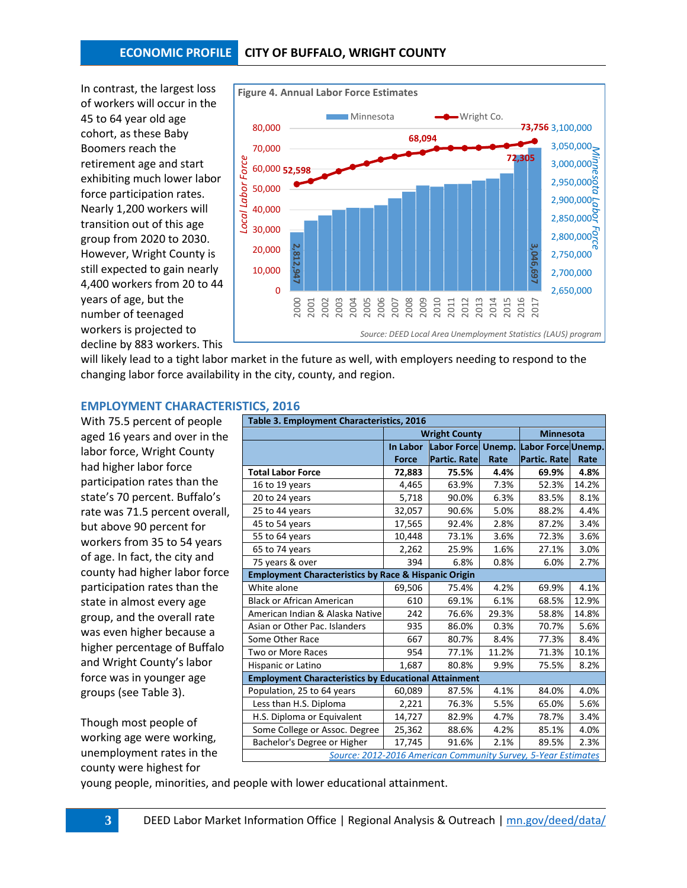## **ECONOMIC PROFILE CITY OF BUFFALO, WRIGHT COUNTY**

In contrast, the largest loss of workers will occur in the 45 to 64 year old age cohort, as these Baby Boomers reach the retirement age and start exhibiting much lower labor force participation rates. Nearly 1,200 workers will transition out of this age group from 2020 to 2030. However, Wright County is still expected to gain nearly 4,400 workers from 20 to 44 years of age, but the number of teenaged workers is projected to decline by 883 workers. This



will likely lead to a tight labor market in the future as well, with employers needing to respond to the changing labor force availability in the city, county, and region.

#### **EMPLOYMENT CHARACTERISTICS, 2016**

With 75.5 percent of people aged 16 years and over in the labor force, Wright County had higher labor force participation rates than the state's 70 percent. Buffalo's rate was 71.5 percent overall, but above 90 percent for workers from 35 to 54 years of age. In fact, the city and county had higher labor force participation rates than the state in almost every age group, and the overall rate was even higher because a higher percentage of Buffalo and Wright County's labor force was in younger age groups (see Table 3).

Though most people of working age were working, unemployment rates in the county were highest for

| Table 3. Employment Characteristics, 2016                       |              |                                       |       |                     |       |  |  |  |  |
|-----------------------------------------------------------------|--------------|---------------------------------------|-------|---------------------|-------|--|--|--|--|
|                                                                 |              | <b>Wright County</b>                  |       | <b>Minnesota</b>    |       |  |  |  |  |
|                                                                 | In Labor     | Labor Force Unemp. Labor Force Unemp. |       |                     |       |  |  |  |  |
|                                                                 | <b>Force</b> | Partic. Rate                          | Rate  | <b>Partic. Rate</b> | Rate  |  |  |  |  |
| <b>Total Labor Force</b>                                        | 72,883       | 75.5%                                 | 4.4%  | 69.9%               | 4.8%  |  |  |  |  |
| 16 to 19 years                                                  | 4,465        | 63.9%                                 | 7.3%  | 52.3%               | 14.2% |  |  |  |  |
| 20 to 24 years                                                  | 5,718        | 90.0%                                 | 6.3%  | 83.5%               | 8.1%  |  |  |  |  |
| 25 to 44 years                                                  | 32,057       | 90.6%                                 | 5.0%  | 88.2%               | 4.4%  |  |  |  |  |
| 45 to 54 years                                                  | 17,565       | 92.4%                                 | 2.8%  | 87.2%               | 3.4%  |  |  |  |  |
| 55 to 64 years                                                  | 10.448       | 73.1%                                 | 3.6%  | 72.3%               | 3.6%  |  |  |  |  |
| 65 to 74 years                                                  | 2,262        | 25.9%                                 | 1.6%  | 27.1%               | 3.0%  |  |  |  |  |
| 75 years & over                                                 | 394          | 6.8%                                  | 0.8%  | 6.0%                | 2.7%  |  |  |  |  |
| <b>Employment Characteristics by Race &amp; Hispanic Origin</b> |              |                                       |       |                     |       |  |  |  |  |
| White alone                                                     | 69,506       | 75.4%                                 | 4.2%  | 69.9%               | 4.1%  |  |  |  |  |
| <b>Black or African American</b>                                | 610          | 69.1%                                 | 6.1%  | 68.5%               | 12.9% |  |  |  |  |
| American Indian & Alaska Native                                 | 242          | 76.6%                                 | 29.3% | 58.8%               | 14.8% |  |  |  |  |
| Asian or Other Pac. Islanders                                   | 935          | 86.0%                                 | 0.3%  | 70.7%               | 5.6%  |  |  |  |  |
| Some Other Race                                                 | 667          | 80.7%                                 | 8.4%  | 77.3%               | 8.4%  |  |  |  |  |
| Two or More Races                                               | 954          | 77.1%                                 | 11.2% | 71.3%               | 10.1% |  |  |  |  |
| Hispanic or Latino                                              | 1,687        | 80.8%                                 | 9.9%  | 75.5%               | 8.2%  |  |  |  |  |
| <b>Employment Characteristics by Educational Attainment</b>     |              |                                       |       |                     |       |  |  |  |  |
| Population, 25 to 64 years                                      | 60,089       | 87.5%                                 | 4.1%  | 84.0%               | 4.0%  |  |  |  |  |
| Less than H.S. Diploma                                          | 2,221        | 76.3%                                 | 5.5%  | 65.0%               | 5.6%  |  |  |  |  |
| H.S. Diploma or Equivalent                                      | 14,727       | 82.9%                                 | 4.7%  | 78.7%               | 3.4%  |  |  |  |  |
| Some College or Assoc. Degree                                   | 25,362       | 88.6%                                 | 4.2%  | 85.1%               | 4.0%  |  |  |  |  |
| Bachelor's Degree or Higher                                     | 17,745       | 91.6%                                 | 2.1%  | 89.5%               | 2.3%  |  |  |  |  |
| Source: 2012-2016 American Community Survey, 5-Year Estimates   |              |                                       |       |                     |       |  |  |  |  |

young people, minorities, and people with lower educational attainment.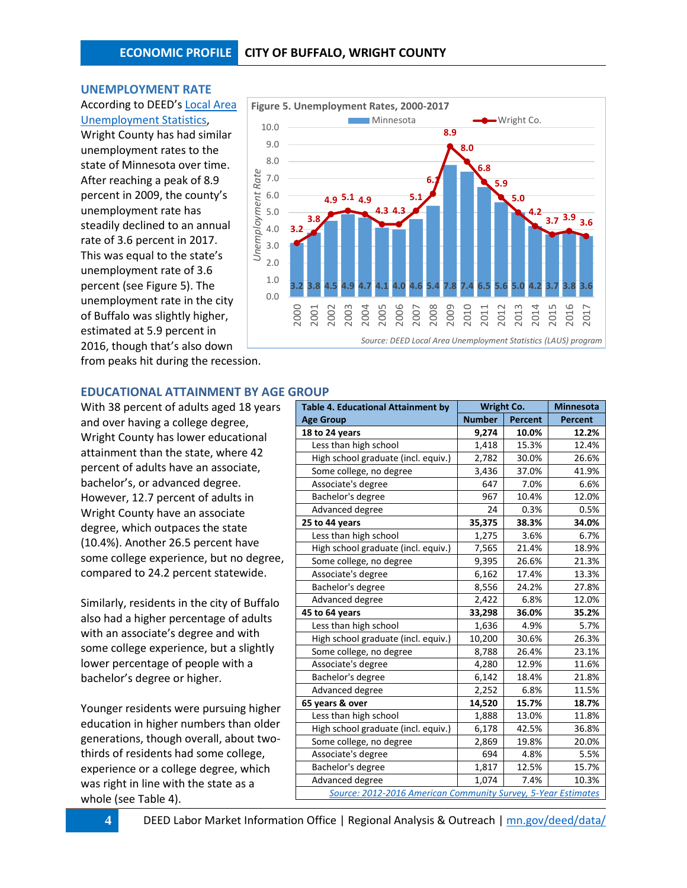#### **UNEMPLOYMENT RATE**

### According to DEED's [Local Area](http://www.mn.gov/deed/data/data-tools/laus/)  [Unemployment Statistics,](http://www.mn.gov/deed/data/data-tools/laus/)

Wright County has had similar unemployment rates to the state of Minnesota over time. After reaching a peak of 8.9 percent in 2009, the county's unemployment rate has steadily declined to an annual rate of 3.6 percent in 2017. This was equal to the state's unemployment rate of 3.6 percent (see Figure 5). The unemployment rate in the city of Buffalo was slightly higher, estimated at 5.9 percent in 2016, though that's also down from peaks hit during the recession.



### **EDUCATIONAL ATTAINMENT BY AGE GROUP**

With 38 percent of adults aged 18 years and over having a college degree, Wright County has lower educational attainment than the state, where 42 percent of adults have an associate, bachelor's, or advanced degree. However, 12.7 percent of adults in Wright County have an associate degree, which outpaces the state (10.4%). Another 26.5 percent have some college experience, but no degree, compared to 24.2 percent statewide.

Similarly, residents in the city of Buffalo also had a higher percentage of adults with an associate's degree and with some college experience, but a slightly lower percentage of people with a bachelor's degree or higher.

Younger residents were pursuing higher education in higher numbers than older generations, though overall, about twothirds of residents had some college, experience or a college degree, which was right in line with the state as a whole (see Table 4).

| <b>Table 4. Educational Attainment by</b>                     | Wright Co.    |                | <b>Minnesota</b> |  |  |  |  |  |
|---------------------------------------------------------------|---------------|----------------|------------------|--|--|--|--|--|
| <b>Age Group</b>                                              | <b>Number</b> | <b>Percent</b> | <b>Percent</b>   |  |  |  |  |  |
| 18 to 24 years                                                | 9,274         | 10.0%          | 12.2%            |  |  |  |  |  |
| Less than high school                                         | 1,418         | 15.3%          | 12.4%            |  |  |  |  |  |
| High school graduate (incl. equiv.)                           | 2,782         | 30.0%          | 26.6%            |  |  |  |  |  |
| Some college, no degree                                       | 3,436         | 37.0%          | 41.9%            |  |  |  |  |  |
| Associate's degree                                            | 647           | 7.0%           | 6.6%             |  |  |  |  |  |
| Bachelor's degree                                             | 967           | 10.4%          | 12.0%            |  |  |  |  |  |
| Advanced degree                                               | 24            | 0.3%           | 0.5%             |  |  |  |  |  |
| 25 to 44 years                                                | 35,375        | 38.3%          | 34.0%            |  |  |  |  |  |
| Less than high school                                         | 1,275         | 3.6%           | 6.7%             |  |  |  |  |  |
| High school graduate (incl. equiv.)                           | 7,565         | 21.4%          | 18.9%            |  |  |  |  |  |
| Some college, no degree                                       | 9,395         | 26.6%          | 21.3%            |  |  |  |  |  |
| Associate's degree                                            | 6,162         | 17.4%          | 13.3%            |  |  |  |  |  |
| Bachelor's degree                                             | 8,556         | 24.2%          | 27.8%            |  |  |  |  |  |
| Advanced degree                                               | 2,422         | 6.8%           | 12.0%            |  |  |  |  |  |
| 45 to 64 years                                                | 33,298        | 36.0%          | 35.2%            |  |  |  |  |  |
| Less than high school                                         | 1,636         | 4.9%           | 5.7%             |  |  |  |  |  |
| High school graduate (incl. equiv.)                           | 10,200        | 30.6%          | 26.3%            |  |  |  |  |  |
| Some college, no degree                                       | 8,788         | 26.4%          | 23.1%            |  |  |  |  |  |
| Associate's degree                                            | 4,280         | 12.9%          | 11.6%            |  |  |  |  |  |
| Bachelor's degree                                             | 6,142         | 18.4%          | 21.8%            |  |  |  |  |  |
| Advanced degree                                               | 2,252         | 6.8%           | 11.5%            |  |  |  |  |  |
| 65 years & over                                               | 14,520        | 15.7%          | 18.7%            |  |  |  |  |  |
| Less than high school                                         | 1,888         | 13.0%          | 11.8%            |  |  |  |  |  |
| High school graduate (incl. equiv.)                           | 6,178         | 42.5%          | 36.8%            |  |  |  |  |  |
| Some college, no degree                                       | 2,869         | 19.8%          | 20.0%            |  |  |  |  |  |
| Associate's degree                                            | 694           | 4.8%           | 5.5%             |  |  |  |  |  |
| Bachelor's degree                                             | 1,817         | 12.5%          | 15.7%            |  |  |  |  |  |
| Advanced degree                                               | 1,074         | 7.4%           | 10.3%            |  |  |  |  |  |
| Source: 2012-2016 American Community Survey, 5-Year Estimates |               |                |                  |  |  |  |  |  |

**4** DEED Labor Market Information Office | Regional Analysis & Outreach [| mn.gov/deed/data/](http://www.mn.gov/deed/data/)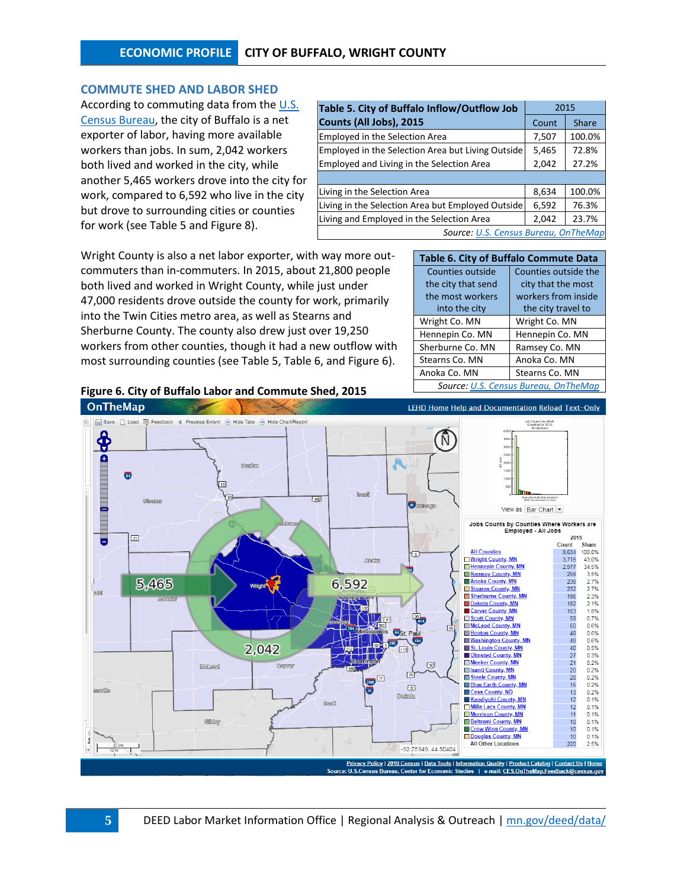# **ECONOMIC PROFILE CITY OF BUFFALO, WRIGHT COUNTY**

#### **COMMUTE SHED AND LABOR SHED**

According to commuting data from th[e U.S.](http://onthemap.ces.census.gov/)  [Census Bureau,](http://onthemap.ces.census.gov/) the city of Buffalo is a net exporter of labor, having more available workers than jobs. In sum, 2,042 workers both lived and worked in the city, while another 5,465 workers drove into the city for work, compared to 6,592 who live in the city but drove to surrounding cities or counties for work (see Table 5 and Figure 8).

| Table 5. City of Buffalo Inflow/Outflow Job       | 2015  |              |  |  |  |  |  |
|---------------------------------------------------|-------|--------------|--|--|--|--|--|
| Counts (All Jobs), 2015                           | Count | <b>Share</b> |  |  |  |  |  |
| <b>Employed in the Selection Area</b>             | 7,507 | 100.0%       |  |  |  |  |  |
| Employed in the Selection Area but Living Outside | 5,465 | 72.8%        |  |  |  |  |  |
| Employed and Living in the Selection Area         | 2,042 | 27.2%        |  |  |  |  |  |
|                                                   |       |              |  |  |  |  |  |
| Living in the Selection Area                      | 8,634 | 100.0%       |  |  |  |  |  |
| Living in the Selection Area but Employed Outside | 6,592 | 76.3%        |  |  |  |  |  |
| Living and Employed in the Selection Area         | 2,042 | 23.7%        |  |  |  |  |  |
| Source: U.S. Census Bureau, OnTheMap              |       |              |  |  |  |  |  |

Wright County is also a net labor exporter, with way more outcommuters than in-commuters. In 2015, about 21,800 people both lived and worked in Wright County, while just under 47,000 residents drove outside the county for work, primarily into the Twin Cities metro area, as well as Stearns and Sherburne County. The county also drew just over 19,250 workers from other counties, though it had a new outflow with most surrounding counties (see Table 5, Table 6, and Figure 6).

| Table 6. City of Buffalo Commute Data |                      |  |  |  |  |  |  |
|---------------------------------------|----------------------|--|--|--|--|--|--|
| <b>Counties outside</b>               | Counties outside the |  |  |  |  |  |  |
| the city that send                    | city that the most   |  |  |  |  |  |  |
| the most workers                      | workers from inside  |  |  |  |  |  |  |
| into the city                         | the city travel to   |  |  |  |  |  |  |
| Wright Co. MN                         | Wright Co. MN        |  |  |  |  |  |  |
| Hennepin Co. MN                       | Hennepin Co. MN      |  |  |  |  |  |  |
| Sherburne Co. MN                      | Ramsey Co. MN        |  |  |  |  |  |  |
| Stearns Co. MN                        | Anoka Co. MN         |  |  |  |  |  |  |
| Anoka Co. MN                          | Stearns Co. MN       |  |  |  |  |  |  |
| Source: U.S. Census Bureau, OnTheMap  |                      |  |  |  |  |  |  |

#### **Figure 6. City of Buffalo Labor and Commute Shed, 2015 OnTheMap**

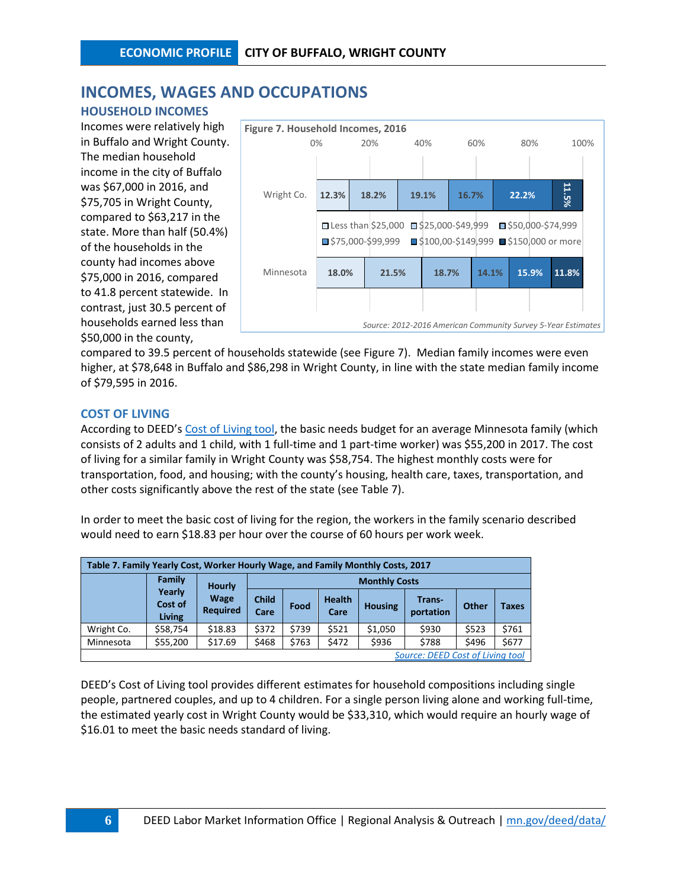# **INCOMES, WAGES AND OCCUPATIONS**

## **HOUSEHOLD INCOMES**

Incomes were relatively high in Buffalo and Wright County. The median household income in the city of Buffalo was \$67,000 in 2016, and \$75,705 in Wright County, compared to \$63,217 in the state. More than half (50.4%) of the households in the county had incomes above \$75,000 in 2016, compared to 41.8 percent statewide. In contrast, just 30.5 percent of households earned less than \$50,000 in the county,



compared to 39.5 percent of households statewide (see Figure 7). Median family incomes were even higher, at \$78,648 in Buffalo and \$86,298 in Wright County, in line with the state median family income of \$79,595 in 2016.

## **COST OF LIVING**

According to DEED's [Cost of Living tool,](http://www.mn.gov/deed/data/data-tools/col/) the basic needs budget for an average Minnesota family (which consists of 2 adults and 1 child, with 1 full-time and 1 part-time worker) was \$55,200 in 2017. The cost of living for a similar family in Wright County was \$58,754. The highest monthly costs were for transportation, food, and housing; with the county's housing, health care, taxes, transportation, and other costs significantly above the rest of the state (see Table 7).

In order to meet the basic cost of living for the region, the workers in the family scenario described would need to earn \$18.83 per hour over the course of 60 hours per work week.

| Table 7. Family Yearly Cost, Worker Hourly Wage, and Family Monthly Costs, 2017 |                             |                                                        |       |                       |                |                     |       |       |       |  |
|---------------------------------------------------------------------------------|-----------------------------|--------------------------------------------------------|-------|-----------------------|----------------|---------------------|-------|-------|-------|--|
|                                                                                 | Family                      | <b>Hourly</b>                                          |       | <b>Monthly Costs</b>  |                |                     |       |       |       |  |
|                                                                                 | Yearly<br>Cost of<br>Living | <b>Wage</b><br><b>Child</b><br><b>Required</b><br>Care | Food  | <b>Health</b><br>Care | <b>Housing</b> | Trans-<br>portation | Other | Taxes |       |  |
| Wright Co.                                                                      | \$58,754                    | \$18.83                                                | \$372 | \$739                 | \$521          | \$1,050             | \$930 | \$523 | \$761 |  |
| Minnesota                                                                       | \$55,200                    | \$17.69                                                | \$468 | \$763                 | \$472          | \$936               | \$788 | \$496 | \$677 |  |
| Source: DEED Cost of Living tool                                                |                             |                                                        |       |                       |                |                     |       |       |       |  |

DEED's Cost of Living tool provides different estimates for household compositions including single people, partnered couples, and up to 4 children. For a single person living alone and working full-time, the estimated yearly cost in Wright County would be \$33,310, which would require an hourly wage of \$16.01 to meet the basic needs standard of living.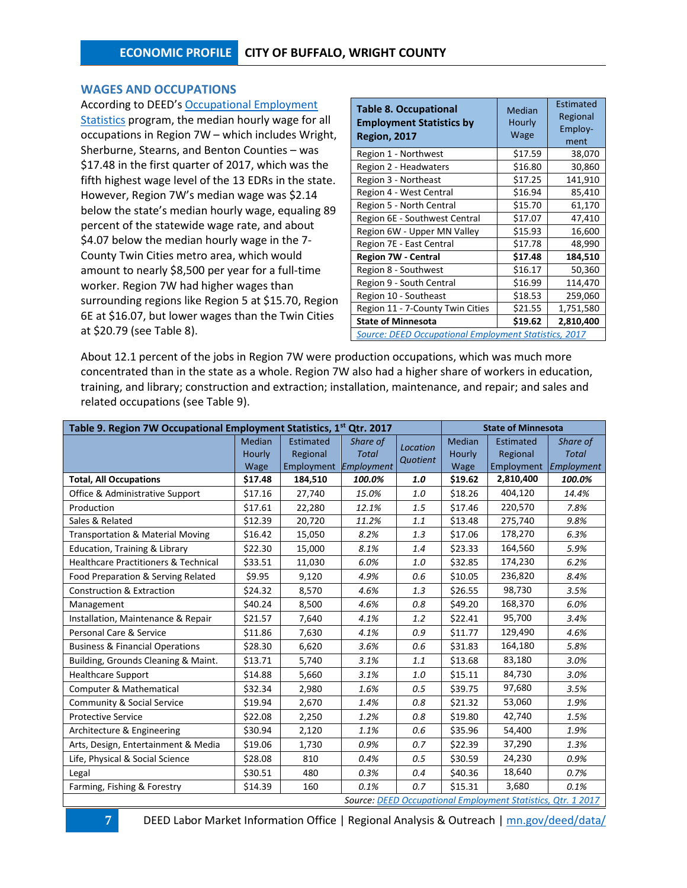#### **WAGES AND OCCUPATIONS**

According to DEED's [Occupational Employment](http://www.mn.gov/deed/data/data-tools/oes/)  [Statistics](http://www.mn.gov/deed/data/data-tools/oes/) program, the median hourly wage for all occupations in Region 7W – which includes Wright, Sherburne, Stearns, and Benton Counties – was \$17.48 in the first quarter of 2017, which was the fifth highest wage level of the 13 EDRs in the state. However, Region 7W's median wage was \$2.14 below the state's median hourly wage, equaling 89 percent of the statewide wage rate, and about \$4.07 below the median hourly wage in the 7- County Twin Cities metro area, which would amount to nearly \$8,500 per year for a full-time worker. Region 7W had higher wages than surrounding regions like Region 5 at \$15.70, Region 6E at \$16.07, but lower wages than the Twin Cities at \$20.79 (see Table 8).

| <b>Table 8. Occupational</b><br><b>Employment Statistics by</b><br><b>Region, 2017</b> | Median<br>Hourly<br>Wage | Estimated<br>Regional<br>Employ-<br>ment |  |  |  |  |  |  |
|----------------------------------------------------------------------------------------|--------------------------|------------------------------------------|--|--|--|--|--|--|
| Region 1 - Northwest                                                                   | \$17.59                  | 38,070                                   |  |  |  |  |  |  |
| Region 2 - Headwaters                                                                  | \$16.80                  | 30,860                                   |  |  |  |  |  |  |
| Region 3 - Northeast                                                                   | \$17.25                  | 141,910                                  |  |  |  |  |  |  |
| Region 4 - West Central                                                                | \$16.94                  | 85,410                                   |  |  |  |  |  |  |
| Region 5 - North Central                                                               | \$15.70                  | 61,170                                   |  |  |  |  |  |  |
| Region 6E - Southwest Central                                                          | \$17.07                  | 47,410                                   |  |  |  |  |  |  |
| Region 6W - Upper MN Valley                                                            | \$15.93                  | 16,600                                   |  |  |  |  |  |  |
| Region 7E - East Central                                                               | \$17.78                  | 48,990                                   |  |  |  |  |  |  |
| <b>Region 7W - Central</b>                                                             | \$17.48                  | 184,510                                  |  |  |  |  |  |  |
| Region 8 - Southwest                                                                   | \$16.17                  | 50,360                                   |  |  |  |  |  |  |
| Region 9 - South Central                                                               | \$16.99                  | 114,470                                  |  |  |  |  |  |  |
| Region 10 - Southeast                                                                  | \$18.53                  | 259,060                                  |  |  |  |  |  |  |
| Region 11 - 7-County Twin Cities                                                       | \$21.55                  | 1,751,580                                |  |  |  |  |  |  |
| <b>State of Minnesota</b>                                                              | \$19.62                  | 2,810,400                                |  |  |  |  |  |  |
| <b>Source: DEED Occupational Employment Statistics, 2017</b>                           |                          |                                          |  |  |  |  |  |  |

About 12.1 percent of the jobs in Region 7W were production occupations, which was much more concentrated than in the state as a whole. Region 7W also had a higher share of workers in education, training, and library; construction and extraction; installation, maintenance, and repair; and sales and related occupations (see Table 9).

| Table 9. Region 7W Occupational Employment Statistics, 1 <sup>st</sup> Qtr. 2017<br><b>State of Minnesota</b> |                                                                        |                  |          |          |         |                                                              |              |  |  |
|---------------------------------------------------------------------------------------------------------------|------------------------------------------------------------------------|------------------|----------|----------|---------|--------------------------------------------------------------|--------------|--|--|
|                                                                                                               | Median                                                                 | <b>Estimated</b> | Share of | Location | Median  | <b>Estimated</b>                                             | Share of     |  |  |
|                                                                                                               | Regional<br>Hourly<br><b>Total</b><br>Employment<br>Employment<br>Wage |                  |          | Quotient | Hourly  | Regional                                                     | <b>Total</b> |  |  |
|                                                                                                               |                                                                        |                  |          |          | Wage    | Employment                                                   | Employment   |  |  |
| <b>Total, All Occupations</b>                                                                                 | \$17.48                                                                | 184,510          | 100.0%   | 1.0      | \$19.62 | 2,810,400                                                    | 100.0%       |  |  |
| Office & Administrative Support                                                                               | \$17.16                                                                | 27,740           | 15.0%    | 1.0      | \$18.26 | 404,120                                                      | 14.4%        |  |  |
| Production                                                                                                    | \$17.61                                                                | 22,280           | 12.1%    | 1.5      | \$17.46 | 220,570                                                      | 7.8%         |  |  |
| Sales & Related                                                                                               | \$12.39                                                                | 20,720           | 11.2%    | 1.1      | \$13.48 | 275,740                                                      | 9.8%         |  |  |
| <b>Transportation &amp; Material Moving</b>                                                                   | \$16.42                                                                | 15,050           | 8.2%     | 1.3      | \$17.06 | 178,270                                                      | 6.3%         |  |  |
| Education, Training & Library                                                                                 | \$22.30                                                                | 15,000           | 8.1%     | 1.4      | \$23.33 | 164,560                                                      | 5.9%         |  |  |
| <b>Healthcare Practitioners &amp; Technical</b>                                                               | \$33.51                                                                | 11,030           | 6.0%     | 1.0      | \$32.85 | 174,230                                                      | 6.2%         |  |  |
| Food Preparation & Serving Related                                                                            | \$9.95                                                                 | 9,120            | 4.9%     | 0.6      | \$10.05 | 236,820                                                      | 8.4%         |  |  |
| <b>Construction &amp; Extraction</b>                                                                          | \$24.32                                                                | 8,570            | 4.6%     | 1.3      | \$26.55 | 98,730                                                       | 3.5%         |  |  |
| Management                                                                                                    | \$40.24                                                                | 8,500            | 4.6%     | 0.8      | \$49.20 | 168,370                                                      | 6.0%         |  |  |
| Installation, Maintenance & Repair                                                                            | \$21.57                                                                | 7,640            | 4.1%     | 1.2      | \$22.41 | 95,700                                                       | 3.4%         |  |  |
| Personal Care & Service                                                                                       | \$11.86                                                                | 7,630            | 4.1%     | 0.9      | \$11.77 | 129,490                                                      | 4.6%         |  |  |
| <b>Business &amp; Financial Operations</b>                                                                    | \$28.30                                                                | 6,620            | 3.6%     | 0.6      | \$31.83 | 164,180                                                      | 5.8%         |  |  |
| Building, Grounds Cleaning & Maint.                                                                           | \$13.71                                                                | 5,740            | 3.1%     | 1.1      | \$13.68 | 83,180                                                       | 3.0%         |  |  |
| <b>Healthcare Support</b>                                                                                     | \$14.88                                                                | 5,660            | 3.1%     | 1.0      | \$15.11 | 84,730                                                       | 3.0%         |  |  |
| Computer & Mathematical                                                                                       | \$32.34                                                                | 2,980            | 1.6%     | 0.5      | \$39.75 | 97,680                                                       | 3.5%         |  |  |
| Community & Social Service                                                                                    | \$19.94                                                                | 2,670            | 1.4%     | 0.8      | \$21.32 | 53,060                                                       | 1.9%         |  |  |
| <b>Protective Service</b>                                                                                     | \$22.08                                                                | 2,250            | 1.2%     | 0.8      | \$19.80 | 42,740                                                       | 1.5%         |  |  |
| Architecture & Engineering                                                                                    | \$30.94                                                                | 2,120            | 1.1%     | 0.6      | \$35.96 | 54,400                                                       | 1.9%         |  |  |
| Arts, Design, Entertainment & Media                                                                           | \$19.06                                                                | 1,730            | 0.9%     | 0.7      | \$22.39 | 37,290                                                       | 1.3%         |  |  |
| Life, Physical & Social Science                                                                               | \$28.08                                                                | 810              | 0.4%     | 0.5      | \$30.59 | 24,230                                                       | 0.9%         |  |  |
| Legal                                                                                                         | \$30.51                                                                | 480              | 0.3%     | 0.4      | \$40.36 | 18,640                                                       | 0.7%         |  |  |
| Farming, Fishing & Forestry                                                                                   | \$14.39                                                                | 160              | 0.1%     | 0.7      | \$15.31 | 3,680                                                        | 0.1%         |  |  |
|                                                                                                               |                                                                        |                  |          |          |         | Source: DEED Occupational Employment Statistics, Qtr. 1 2017 |              |  |  |

**7** DEED Labor Market Information Office | Regional Analysis & Outreach [| mn.gov/deed/data/](http://www.mn.gov/deed/data/)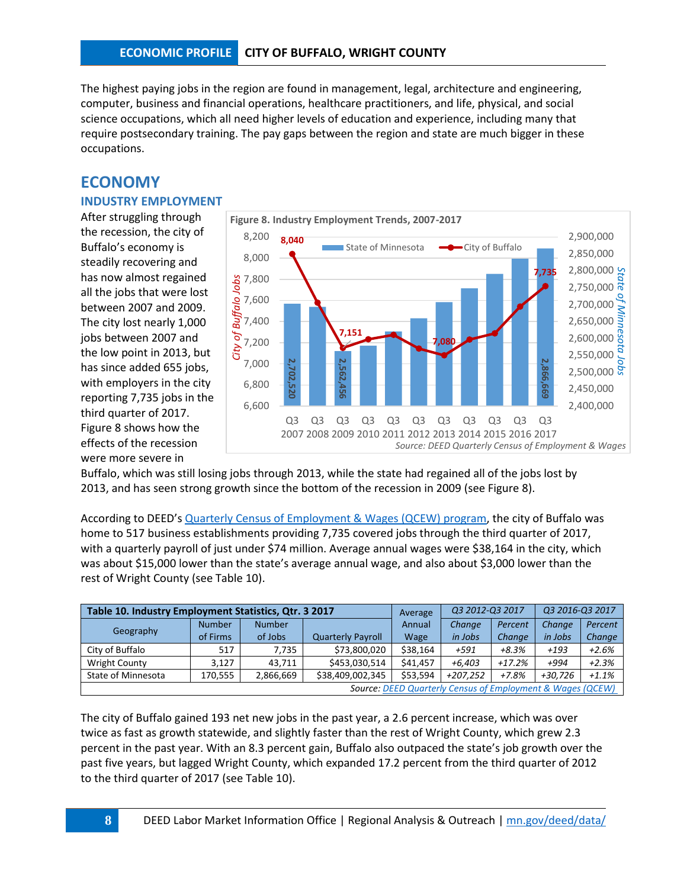The highest paying jobs in the region are found in management, legal, architecture and engineering, computer, business and financial operations, healthcare practitioners, and life, physical, and social science occupations, which all need higher levels of education and experience, including many that require postsecondary training. The pay gaps between the region and state are much bigger in these occupations.

# **ECONOMY**

### **INDUSTRY EMPLOYMENT**

After struggling through the recession, the city of Buffalo's economy is steadily recovering and has now almost regained all the jobs that were lost between 2007 and 2009. The city lost nearly 1,000 jobs between 2007 and the low point in 2013, but has since added 655 jobs, with employers in the city reporting 7,735 jobs in the third quarter of 2017. Figure 8 shows how the effects of the recession were more severe in



Buffalo, which was still losing jobs through 2013, while the state had regained all of the jobs lost by 2013, and has seen strong growth since the bottom of the recession in 2009 (see Figure 8).

According to DEED's [Quarterly Census of Employment & Wages \(QCEW\) program,](http://www.mn.gov/deed/data/data-tools/qcew/) the city of Buffalo was home to 517 business establishments providing 7,735 covered jobs through the third quarter of 2017, with a quarterly payroll of just under \$74 million. Average annual wages were \$38,164 in the city, which was about \$15,000 lower than the state's average annual wage, and also about \$3,000 lower than the rest of Wright County (see Table 10).

| Table 10. Industry Employment Statistics, Qtr. 3 2017      |               |               |                          | Average  | Q3 2012-Q3 2017 |          | Q3 2016-Q3 2017 |         |  |
|------------------------------------------------------------|---------------|---------------|--------------------------|----------|-----------------|----------|-----------------|---------|--|
| Geography                                                  | <b>Number</b> | <b>Number</b> |                          | Annual   | Change          | Percent  | Change          | Percent |  |
|                                                            | of Firms      | of Jobs       | <b>Quarterly Payroll</b> | Wage     | in Jobs         | Change   | in Jobs         | Change  |  |
| City of Buffalo                                            | 517           | 7,735         | \$73,800,020             | \$38,164 | +591            | $+8.3%$  | $+193$          | $+2.6%$ |  |
| Wright County                                              | 3.127         | 43.711        | \$453,030,514            | \$41.457 | $+6.403$        | $+17.2%$ | +994            | $+2.3%$ |  |
| State of Minnesota                                         | 170,555       | 2,866,669     | \$38,409,002,345         | \$53,594 | $+207,252$      | +7.8%    | $+30.726$       | $+1.1%$ |  |
| Source: DEED Quarterly Census of Employment & Wages (QCEW) |               |               |                          |          |                 |          |                 |         |  |

The city of Buffalo gained 193 net new jobs in the past year, a 2.6 percent increase, which was over twice as fast as growth statewide, and slightly faster than the rest of Wright County, which grew 2.3 percent in the past year. With an 8.3 percent gain, Buffalo also outpaced the state's job growth over the past five years, but lagged Wright County, which expanded 17.2 percent from the third quarter of 2012 to the third quarter of 2017 (see Table 10).